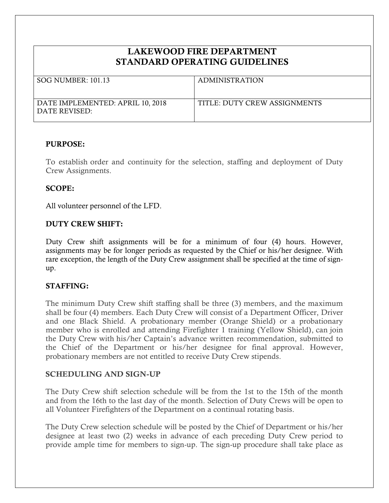# **LAKEWOOD FIRE DEPARTMENT STANDARD OPERATING GUIDELINES**

| SOG NUMBER: 101.13                                | <b>ADMINISTRATION</b>        |
|---------------------------------------------------|------------------------------|
| DATE IMPLEMENTED: APRIL 10, 2018<br>DATE REVISED: | TITLE: DUTY CREW ASSIGNMENTS |

#### **PURPOSE:**

To establish order and continuity for the selection, staffing and deployment of Duty Crew Assignments.

### **SCOPE:**

All volunteer personnel of the LFD.

### **DUTY CREW SHIFT:**

Duty Crew shift assignments will be for a minimum of four (4) hours. However, assignments may be for longer periods as requested by the Chief or his/her designee. With rare exception, the length of the Duty Crew assignment shall be specified at the time of signup.

# **STAFFING:**

The minimum Duty Crew shift staffing shall be three (3) members, and the maximum shall be four (4) members. Each Duty Crew will consist of a Department Officer, Driver and one Black Shield. A probationary member (Orange Shield) or a probationary member who is enrolled and attending Firefighter 1 training (Yellow Shield), can join the Duty Crew with his/her Captain's advance written recommendation, submitted to the Chief of the Department or his/her designee for final approval. However, probationary members are not entitled to receive Duty Crew stipends.

#### **SCHEDULING AND SIGN-UP**

The Duty Crew shift selection schedule will be from the 1st to the 15th of the month and from the 16th to the last day of the month. Selection of Duty Crews will be open to all Volunteer Firefighters of the Department on a continual rotating basis.

The Duty Crew selection schedule will be posted by the Chief of Department or his/her designee at least two (2) weeks in advance of each preceding Duty Crew period to provide ample time for members to sign-up. The sign-up procedure shall take place as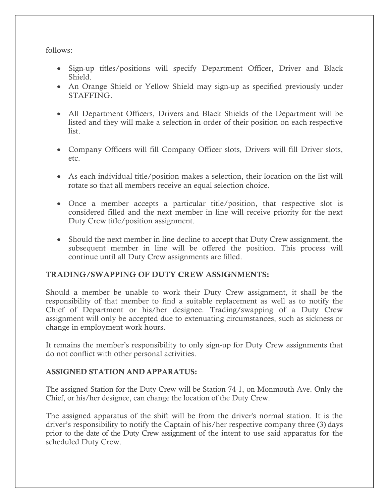follows:

- Sign-up titles/positions will specify Department Officer, Driver and Black Shield.
- An Orange Shield or Yellow Shield may sign-up as specified previously under STAFFING.
- All Department Officers, Drivers and Black Shields of the Department will be listed and they will make a selection in order of their position on each respective list.
- Company Officers will fill Company Officer slots, Drivers will fill Driver slots, etc.
- As each individual title/position makes a selection, their location on the list will rotate so that all members receive an equal selection choice.
- Once a member accepts a particular title/position, that respective slot is considered filled and the next member in line will receive priority for the next Duty Crew title/position assignment.
- Should the next member in line decline to accept that Duty Crew assignment, the subsequent member in line will be offered the position. This process will continue until all Duty Crew assignments are filled.

# **TRADING/SWAPPING OF DUTY CREW ASSIGNMENTS:**

Should a member be unable to work their Duty Crew assignment, it shall be the responsibility of that member to find a suitable replacement as well as to notify the Chief of Department or his/her designee. Trading/swapping of a Duty Crew assignment will only be accepted due to extenuating circumstances, such as sickness or change in employment work hours.

It remains the member's responsibility to only sign-up for Duty Crew assignments that do not conflict with other personal activities.

# **ASSIGNED STATION AND APPARATUS:**

The assigned Station for the Duty Crew will be Station 74-1, on Monmouth Ave. Only the Chief, or his/her designee, can change the location of the Duty Crew.

The assigned apparatus of the shift will be from the driver's normal station. It is the driver's responsibility to notify the Captain of his/her respective company three (3) days prior to the date of the Duty Crew assignment of the intent to use said apparatus for the scheduled Duty Crew.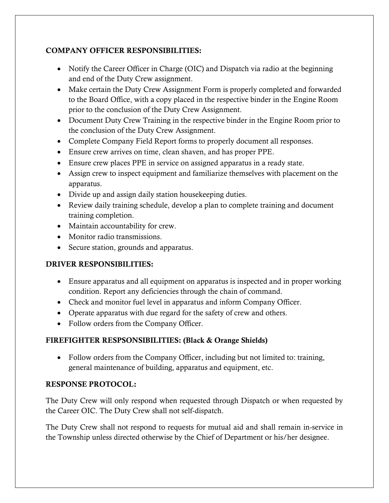# **COMPANY OFFICER RESPONSIBILITIES:**

- Notify the Career Officer in Charge (OIC) and Dispatch via radio at the beginning and end of the Duty Crew assignment.
- Make certain the Duty Crew Assignment Form is properly completed and forwarded to the Board Office, with a copy placed in the respective binder in the Engine Room prior to the conclusion of the Duty Crew Assignment.
- Document Duty Crew Training in the respective binder in the Engine Room prior to the conclusion of the Duty Crew Assignment.
- Complete Company Field Report forms to properly document all responses.
- Ensure crew arrives on time, clean shaven, and has proper PPE.
- Ensure crew places PPE in service on assigned apparatus in a ready state.
- Assign crew to inspect equipment and familiarize themselves with placement on the apparatus.
- Divide up and assign daily station housekeeping duties.
- Review daily training schedule, develop a plan to complete training and document training completion.
- Maintain accountability for crew.
- Monitor radio transmissions.
- Secure station, grounds and apparatus.

# **DRIVER RESPONSIBILITIES:**

- Ensure apparatus and all equipment on apparatus is inspected and in proper working condition. Report any deficiencies through the chain of command.
- Check and monitor fuel level in apparatus and inform Company Officer.
- Operate apparatus with due regard for the safety of crew and others.
- Follow orders from the Company Officer.

# **FIREFIGHTER RESPSONSIBILITIES: (Black & Orange Shields)**

• Follow orders from the Company Officer, including but not limited to: training, general maintenance of building, apparatus and equipment, etc.

# **RESPONSE PROTOCOL:**

The Duty Crew will only respond when requested through Dispatch or when requested by the Career OIC. The Duty Crew shall not self-dispatch.

The Duty Crew shall not respond to requests for mutual aid and shall remain in-service in the Township unless directed otherwise by the Chief of Department or his/her designee.